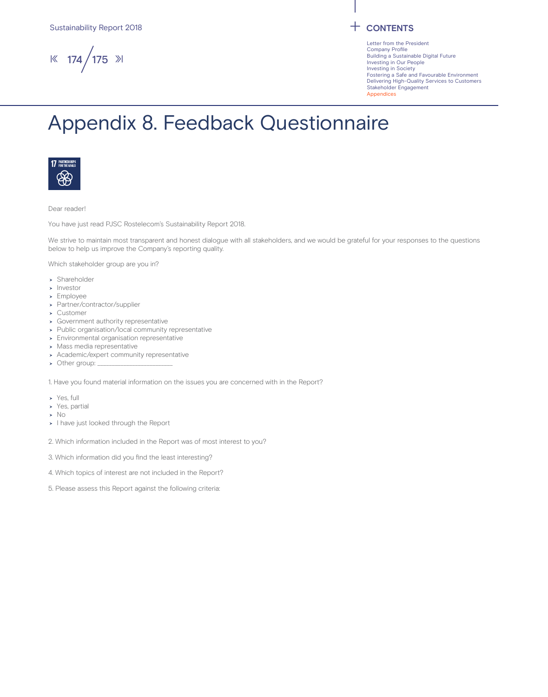$\frac{1}{8}$  174 / 175  $\frac{1}{2}$ 

Letter from the President Company Profile Building a Sustainable Digital Future Investing in Our People Investing in Society Fostering a Safe and Favourable Environment Delivering High-Quality Services to Customers Stakeholder Engagement Appendices

## Appendix 8. Feedback Questionnaire



Dear reader!

You have just read PJSC Rostelecom's Sustainability Report 2018.

We strive to maintain most transparent and honest dialogue with all stakeholders, and we would be grateful for your responses to the questions below to help us improve the Company's reporting quality.

Which stakeholder group are you in?

- > Shareholder
- > Investor
- Employee
- Partner/contractor/supplier
- Customer
- Government authority representative
- > Public organisation/local community representative
- Environmental organisation representative
- Mass media representative
- Academic/expert community representative
- $\rightarrow$  Other group:

1. Have you found material information on the issues you are concerned with in the Report?

- Yes, full
- Yes, partial
- $\rightarrow$  No
- > I have just looked through the Report
- 2. Which information included in the Report was of most interest to you?
- 3. Which information did you find the least interesting?
- 4. Which topics of interest are not included in the Report?
- 5. Please assess this Report against the following criteria: